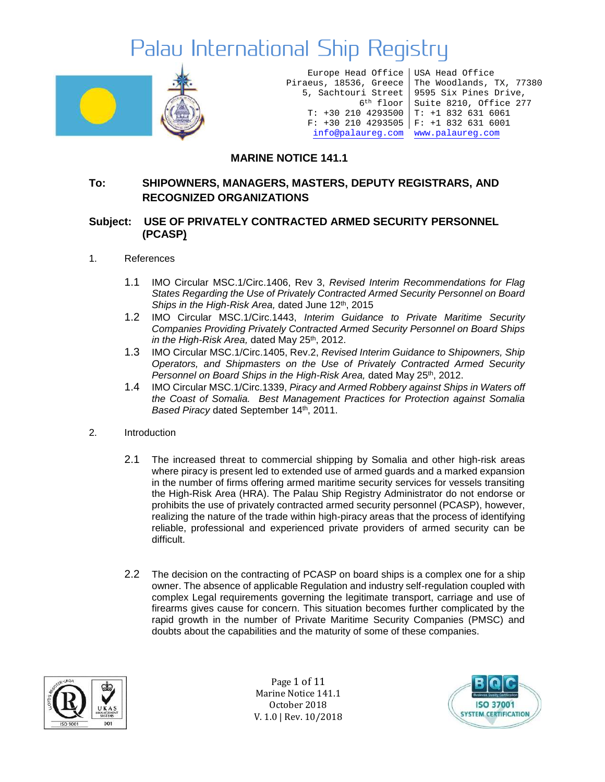

Europe Head Office USA Head Office Piraeus, 18536, Greece 5, Sachtouri Street 6th floor Suite 8210, Office 277 T: +30 210 4293500 F: +30 210 4293505 F: +1 832 631 6001 The Woodlands, TX, 77380 9595 Six Pines Drive, T: +1 832 631 6061 [info@palaureg.com](mailto:info@palaureg.com) [www.palaureg.com](http://www.palaureg.com/)

#### **MARINE NOTICE 141.1**

#### **To: SHIPOWNERS, MANAGERS, MASTERS, DEPUTY REGISTRARS, AND RECOGNIZED ORGANIZATIONS**

#### **Subject: USE OF PRIVATELY CONTRACTED ARMED SECURITY PERSONNEL (PCASP)**

- 1. References
	- 1.1 IMO Circular MSC.1/Circ.1406, Rev 3, *Revised Interim Recommendations for Flag States Regarding the Use of Privately Contracted Armed Security Personnel on Board Ships in the High-Risk Area,* dated June 12th, 2015
	- 1.2 IMO Circular MSC.1/Circ.1443, *Interim Guidance to Private Maritime Security Companies Providing Privately Contracted Armed Security Personnel on Board Ships in the High-Risk Area, dated May 25<sup>th</sup>, 2012.*
	- 1.3 IMO Circular MSC.1/Circ.1405, Rev.2, *Revised Interim Guidance to Shipowners, Ship Operators, and Shipmasters on the Use of Privately Contracted Armed Security Personnel on Board Ships in the High-Risk Area, dated May 25<sup>th</sup>, 2012.*
	- 1.4 IMO Circular MSC.1/Circ.1339, *Piracy and Armed Robbery against Ships in Waters off the Coast of Somalia. Best Management Practices for Protection against Somalia*  **Based Piracy dated September 14th, 2011.**
- 2. Introduction
	- 2.1 The increased threat to commercial shipping by Somalia and other high-risk areas where piracy is present led to extended use of armed guards and a marked expansion in the number of firms offering armed maritime security services for vessels transiting the High-Risk Area (HRA). The Palau Ship Registry Administrator do not endorse or prohibits the use of privately contracted armed security personnel (PCASP), however, realizing the nature of the trade within high-piracy areas that the process of identifying reliable, professional and experienced private providers of armed security can be difficult.
	- 2.2 The decision on the contracting of PCASP on board ships is a complex one for a ship owner. The absence of applicable Regulation and industry self-regulation coupled with complex Legal requirements governing the legitimate transport, carriage and use of firearms gives cause for concern. This situation becomes further complicated by the rapid growth in the number of Private Maritime Security Companies (PMSC) and doubts about the capabilities and the maturity of some of these companies.



Page 1 of 11 Marine Notice 141.1 October 2018 V. 1.0 | Rev. 10/2018

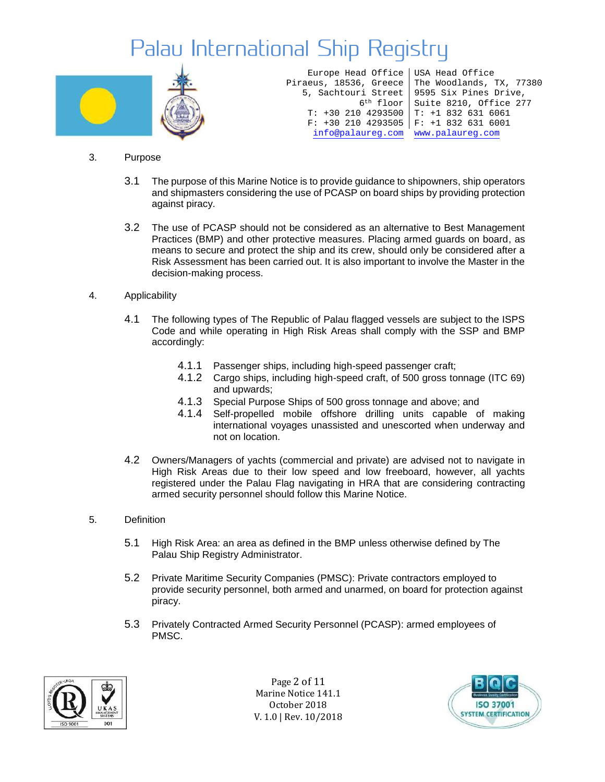

Europe Head Office USA Head Office Piraeus, 18536, Greece 5, Sachtouri Street 6th floor Suite 8210, Office 277 T: +30 210 4293500 F: +30 210 4293505 F: +1 832 631 6001 The Woodlands, TX, 77380 9595 Six Pines Drive, T: +1 832 631 6061 [info@palaureg.com](mailto:info@palaureg.com) [www.palaureg.com](http://www.palaureg.com/)

- 3. Purpose
	- 3.1 The purpose of this Marine Notice is to provide guidance to shipowners, ship operators and shipmasters considering the use of PCASP on board ships by providing protection against piracy.
	- 3.2 The use of PCASP should not be considered as an alternative to Best Management Practices (BMP) and other protective measures. Placing armed guards on board, as means to secure and protect the ship and its crew, should only be considered after a Risk Assessment has been carried out. It is also important to involve the Master in the decision-making process.
- 4. Applicability
	- 4.1 The following types of The Republic of Palau flagged vessels are subject to the ISPS Code and while operating in High Risk Areas shall comply with the SSP and BMP accordingly:
		- 4.1.1 Passenger ships, including high-speed passenger craft;
		- 4.1.2 Cargo ships, including high-speed craft, of 500 gross tonnage (ITC 69) and upwards;
		- 4.1.3 Special Purpose Ships of 500 gross tonnage and above; and
		- 4.1.4 Self-propelled mobile offshore drilling units capable of making international voyages unassisted and unescorted when underway and not on location.
	- 4.2 Owners/Managers of yachts (commercial and private) are advised not to navigate in High Risk Areas due to their low speed and low freeboard, however, all yachts registered under the Palau Flag navigating in HRA that are considering contracting armed security personnel should follow this Marine Notice.
- 5. Definition
	- 5.1 High Risk Area: an area as defined in the BMP unless otherwise defined by The Palau Ship Registry Administrator.
	- 5.2 Private Maritime Security Companies (PMSC): Private contractors employed to provide security personnel, both armed and unarmed, on board for protection against piracy.
	- 5.3 Privately Contracted Armed Security Personnel (PCASP): armed employees of PMSC.



Page 2 of 11 Marine Notice 141.1 October 2018 V. 1.0 | Rev. 10/2018

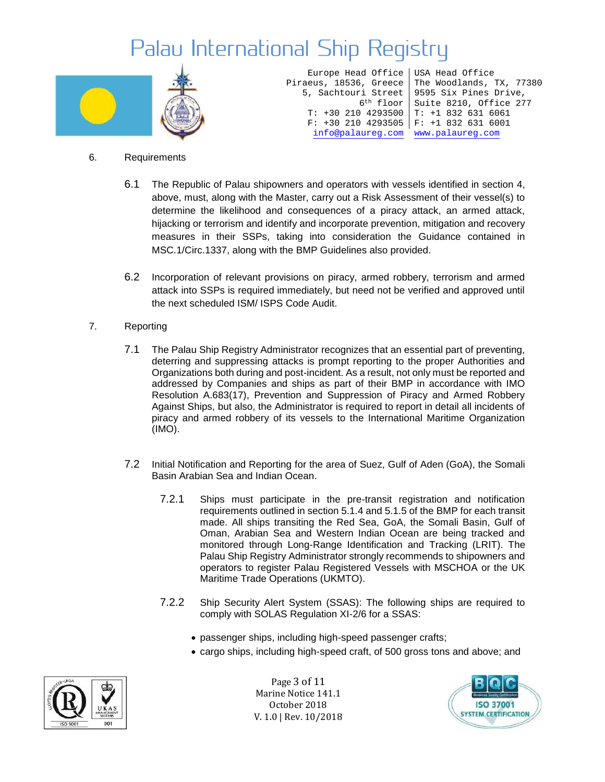

Europe Head Office USA Head Office Piraeus, 18536, Greece 5, Sachtouri Street 6th floor Suite 8210, Office 277 T: +30 210 4293500 F: +30 210 4293505 F: +1 832 631 6001 The Woodlands, TX, 77380 9595 Six Pines Drive, T: +1 832 631 6061 [info@palaureg.com](mailto:info@palaureg.com) [www.palaureg.com](http://www.palaureg.com/)

- 6. Requirements
	- 6.1 The Republic of Palau shipowners and operators with vessels identified in section 4, above, must, along with the Master, carry out a Risk Assessment of their vessel(s) to determine the likelihood and consequences of a piracy attack, an armed attack, hijacking or terrorism and identify and incorporate prevention, mitigation and recovery measures in their SSPs, taking into consideration the Guidance contained in MSC.1/Circ.1337, along with the BMP Guidelines also provided.
	- 6.2 Incorporation of relevant provisions on piracy, armed robbery, terrorism and armed attack into SSPs is required immediately, but need not be verified and approved until the next scheduled ISM/ ISPS Code Audit.
- 7. Reporting
	- 7.1 The Palau Ship Registry Administrator recognizes that an essential part of preventing, deterring and suppressing attacks is prompt reporting to the proper Authorities and Organizations both during and post-incident. As a result, not only must be reported and addressed by Companies and ships as part of their BMP in accordance with IMO Resolution A.683(17), Prevention and Suppression of Piracy and Armed Robbery Against Ships, but also, the Administrator is required to report in detail all incidents of piracy and armed robbery of its vessels to the International Maritime Organization (IMO).
	- 7.2 Initial Notification and Reporting for the area of Suez, Gulf of Aden (GoA), the Somali Basin Arabian Sea and Indian Ocean.
		- 7.2.1 Ships must participate in the pre-transit registration and notification requirements outlined in section 5.1.4 and 5.1.5 of the BMP for each transit made. All ships transiting the Red Sea, GoA, the Somali Basin, Gulf of Oman, Arabian Sea and Western Indian Ocean are being tracked and monitored through Long-Range Identification and Tracking (LRIT). The Palau Ship Registry Administrator strongly recommends to shipowners and operators to register Palau Registered Vessels with MSCHOA or the UK Maritime Trade Operations (UKMTO).
		- 7.2.2 Ship Security Alert System (SSAS): The following ships are required to comply with SOLAS Regulation XI-2/6 for a SSAS:
			- passenger ships, including high-speed passenger crafts;
			- cargo ships, including high-speed craft, of 500 gross tons and above; and



Page 3 of 11 Marine Notice 141.1 October 2018 V. 1.0 | Rev. 10/2018

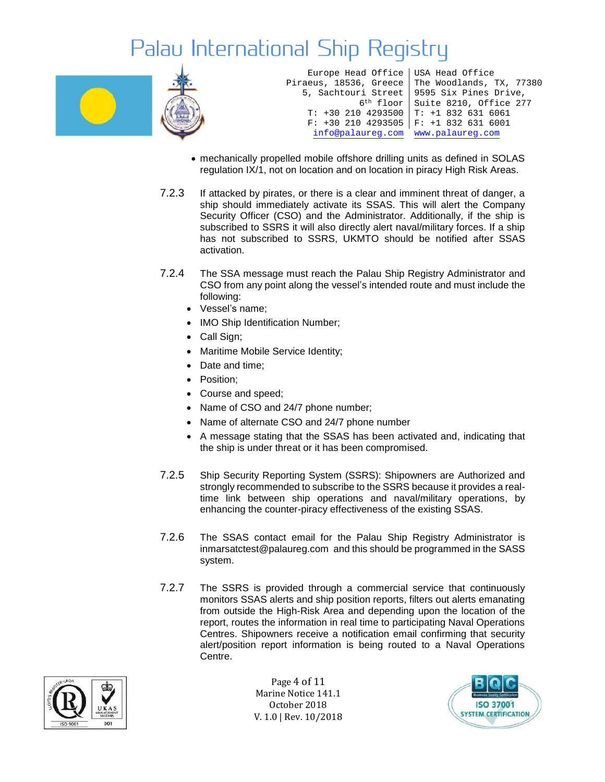

Europe Head Office USA Head Office Piraeus, 18536, Greece 5, Sachtouri Street 6th floor T: +30 210 4293500 F: +30 210 4293505 F: +1 832 631 6001 The Woodlands, TX, 77380 9595 Six Pines Drive, Suite 8210, Office 277 T: +1 832 631 6061 [info@palaureg.com](mailto:info@palaureg.com) [www.palaureg.com](http://www.palaureg.com/)

- mechanically propelled mobile offshore drilling units as defined in SOLAS regulation IX/1, not on location and on location in piracy High Risk Areas.
- 7.2.3 If attacked by pirates, or there is a clear and imminent threat of danger, a ship should immediately activate its SSAS. This will alert the Company Security Officer (CSO) and the Administrator. Additionally, if the ship is subscribed to SSRS it will also directly alert naval/military forces. If a ship has not subscribed to SSRS, UKMTO should be notified after SSAS activation.
- 7.2.4 The SSA message must reach the Palau Ship Registry Administrator and CSO from any point along the vessel's intended route and must include the following:
	- Vessel's name;
	- IMO Ship Identification Number;
	- Call Sign;
	- Maritime Mobile Service Identity;
	- Date and time;
	- Position;
	- Course and speed;
	- Name of CSO and 24/7 phone number;
	- Name of alternate CSO and 24/7 phone number
	- A message stating that the SSAS has been activated and, indicating that the ship is under threat or it has been compromised.
- 7.2.5 Ship Security Reporting System (SSRS): Shipowners are Authorized and strongly recommended to subscribe to the SSRS because it provides a realtime link between ship operations and naval/military operations, by enhancing the counter-piracy effectiveness of the existing SSAS.
- 7.2.6 The SSAS contact email for the Palau Ship Registry Administrator is [inmarsatctest@palaureg.com](mailto:inmarsatctest@palaureg.com) and this should be programmed in the SASS system.
- 7.2.7 The SSRS is provided through a commercial service that continuously monitors SSAS alerts and ship position reports, filters out alerts emanating from outside the High-Risk Area and depending upon the location of the report, routes the information in real time to participating Naval Operations Centres. Shipowners receive a notification email confirming that security alert/position report information is being routed to a Naval Operations Centre.



Page 4 of 11 Marine Notice 141.1 October 2018 V. 1.0 | Rev. 10/2018

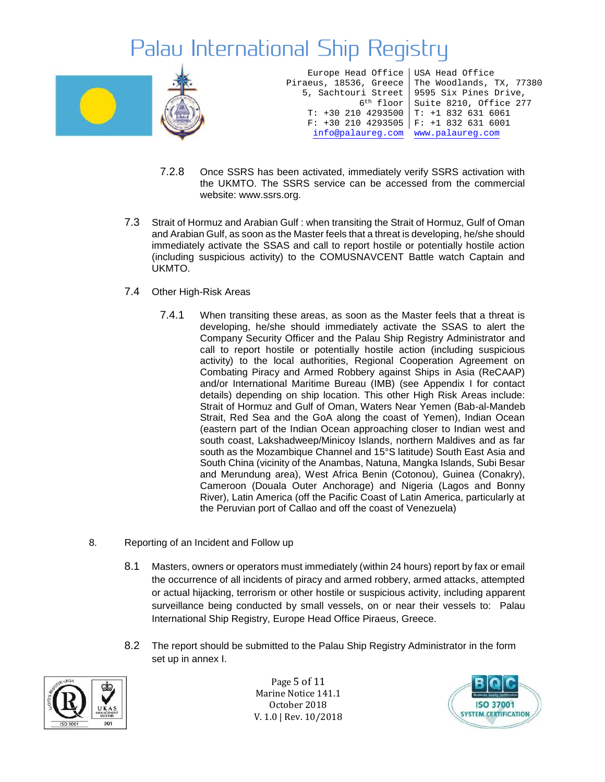

Europe Head Office USA Head Office Piraeus, 18536, Greece 5, Sachtouri Street 6th floor T: +30 210 4293500 F: +30 210 4293505 F: +1 832 631 6001 The Woodlands, TX, 77380 9595 Six Pines Drive, Suite 8210, Office 277 T: +1 832 631 6061 [info@palaureg.com](mailto:info@palaureg.com) [www.palaureg.com](http://www.palaureg.com/)

- 7.2.8 Once SSRS has been activated, immediately verify SSRS activation with the UKMTO. The SSRS service can be accessed from the commercial website: www.ssrs.org.
- 7.3 Strait of Hormuz and Arabian Gulf : when transiting the Strait of Hormuz, Gulf of Oman and Arabian Gulf, as soon as the Master feels that a threat is developing, he/she should immediately activate the SSAS and call to report hostile or potentially hostile action (including suspicious activity) to the COMUSNAVCENT Battle watch Captain and UKMTO.
- 7.4 Other High-Risk Areas
	- 7.4.1 When transiting these areas, as soon as the Master feels that a threat is developing, he/she should immediately activate the SSAS to alert the Company Security Officer and the Palau Ship Registry Administrator and call to report hostile or potentially hostile action (including suspicious activity) to the local authorities, Regional Cooperation Agreement on Combating Piracy and Armed Robbery against Ships in Asia (ReCAAP) and/or International Maritime Bureau (IMB) (see Appendix I for contact details) depending on ship location. This other High Risk Areas include: Strait of Hormuz and Gulf of Oman, Waters Near Yemen (Bab-al-Mandeb Strait, Red Sea and the GoA along the coast of Yemen), Indian Ocean (eastern part of the Indian Ocean approaching closer to Indian west and south coast, Lakshadweep/Minicoy Islands, northern Maldives and as far south as the Mozambique Channel and 15°S latitude) South East Asia and South China (vicinity of the Anambas, Natuna, Mangka Islands, Subi Besar and Merundung area), West Africa Benin (Cotonou), Guinea (Conakry), Cameroon (Douala Outer Anchorage) and Nigeria (Lagos and Bonny River), Latin America (off the Pacific Coast of Latin America, particularly at the Peruvian port of Callao and off the coast of Venezuela)
- 8. Reporting of an Incident and Follow up
	- 8.1 Masters, owners or operators must immediately (within 24 hours) report by fax or email the occurrence of all incidents of piracy and armed robbery, armed attacks, attempted or actual hijacking, terrorism or other hostile or suspicious activity, including apparent surveillance being conducted by small vessels, on or near their vessels to: Palau International Ship Registry, Europe Head Office Piraeus, Greece.
	- 8.2 The report should be submitted to the Palau Ship Registry Administrator in the form set up in annex I.



Page 5 of 11 Marine Notice 141.1 October 2018 V. 1.0 | Rev. 10/2018

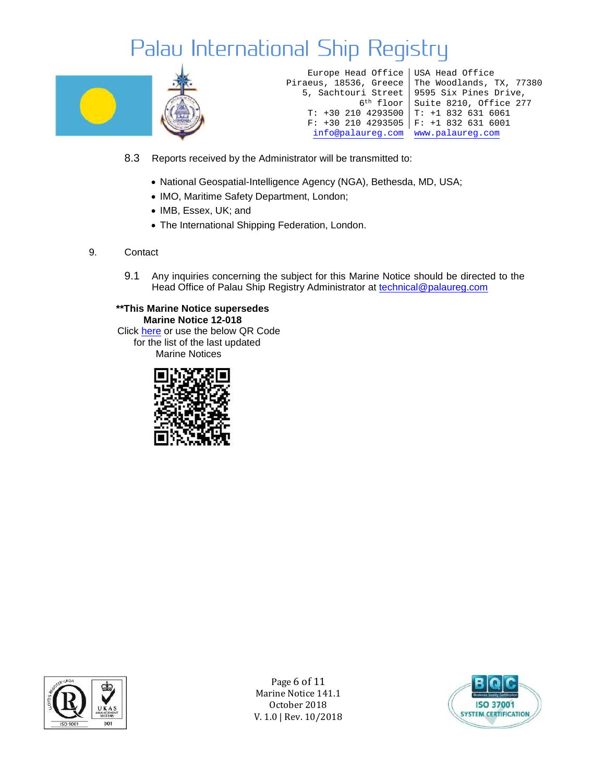

Europe Head Office USA Head Office Piraeus, 18536, Greece 5, Sachtouri Street 6th floor T: +30 210 4293500 F: +30 210 4293505 F: +1 832 631 6001 The Woodlands, TX, 77380 9595 Six Pines Drive, Suite 8210, Office 277 T: +1 832 631 6061 [info@palaureg.com](mailto:info@palaureg.com) [www.palaureg.com](http://www.palaureg.com/)

- 8.3 Reports received by the Administrator will be transmitted to:
	- National Geospatial-Intelligence Agency (NGA), Bethesda, MD, USA;
	- IMO, Maritime Safety Department, London;
	- IMB, Essex, UK; and
	- The International Shipping Federation, London.
- 9. Contact
	- 9.1 Any inquiries concerning the subject for this Marine Notice should be directed to the Head Office of Palau Ship Registry Administrator at [technical@palaureg.com](mailto:technical@palaureg.com)

#### **\*\*This Marine Notice supersedes Marine Notice 12-018**

Click [here](https://www.palaureg.com/information-centre/publications/marine-documents/) or use the below QR Code for the list of the last updated Marine Notices





Page 6 of 11 Marine Notice 141.1 October 2018 V. 1.0 | Rev. 10/2018

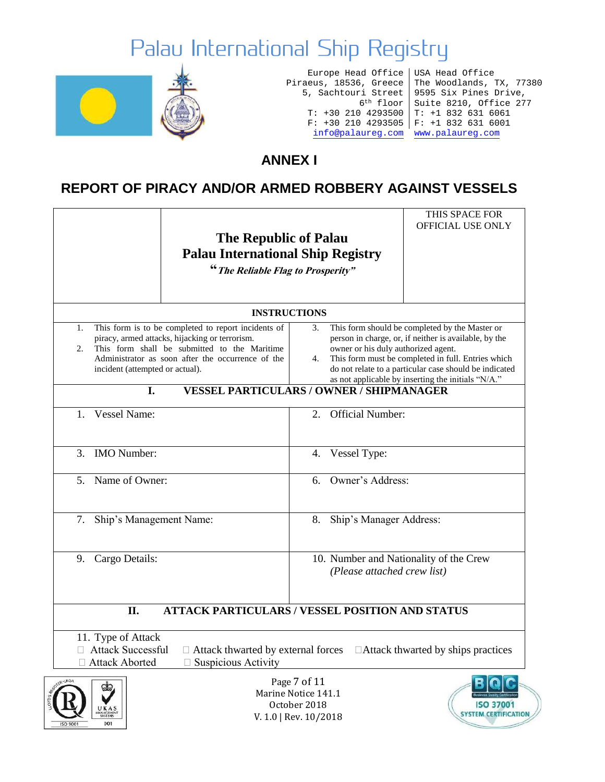

| Europe Head Office   USA Head Office      |                                                   |
|-------------------------------------------|---------------------------------------------------|
|                                           | Piraeus, 18536, Greece   The Woodlands, TX, 77380 |
|                                           | 5, Sachtouri Street   9595 Six Pines Drive,       |
|                                           | 6 <sup>th</sup> floor Suite 8210, Office 277      |
| $T: +302104293500$ $T: +18326316061$      |                                                   |
| $F: +30 210 4293505$ $F: +1 832 631 6001$ |                                                   |
| info@palaureq.com www.palaureq.com        |                                                   |

#### **ANNEX I**

#### **REPORT OF PIRACY AND/OR ARMED ROBBERY AGAINST VESSELS**

| <b>The Republic of Palau</b><br><b>Palau International Ship Registry</b><br>"The Reliable Flag to Prosperity"                                                                                                                                             | THIS SPACE FOR<br>OFFICIAL USE ONLY                                                                                                                                                                                                                                                                                              |  |
|-----------------------------------------------------------------------------------------------------------------------------------------------------------------------------------------------------------------------------------------------------------|----------------------------------------------------------------------------------------------------------------------------------------------------------------------------------------------------------------------------------------------------------------------------------------------------------------------------------|--|
| <b>INSTRUCTIONS</b>                                                                                                                                                                                                                                       |                                                                                                                                                                                                                                                                                                                                  |  |
| This form is to be completed to report incidents of<br>1.<br>piracy, armed attacks, hijacking or terrorism.<br>This form shall be submitted to the Maritime<br>2.<br>Administrator as soon after the occurrence of the<br>incident (attempted or actual). | This form should be completed by the Master or<br>3.<br>person in charge, or, if neither is available, by the<br>owner or his duly authorized agent.<br>This form must be completed in full. Entries which<br>4.<br>do not relate to a particular case should be indicated<br>as not applicable by inserting the initials "N/A." |  |
| I.                                                                                                                                                                                                                                                        | <b>VESSEL PARTICULARS / OWNER / SHIPMANAGER</b>                                                                                                                                                                                                                                                                                  |  |
| 1. Vessel Name:                                                                                                                                                                                                                                           | Official Number:<br>$2^{2}$                                                                                                                                                                                                                                                                                                      |  |
| $\overline{3}$ .<br><b>IMO</b> Number:                                                                                                                                                                                                                    | 4. Vessel Type:                                                                                                                                                                                                                                                                                                                  |  |
| 5. Name of Owner:                                                                                                                                                                                                                                         | 6. Owner's Address:                                                                                                                                                                                                                                                                                                              |  |
| Ship's Management Name:<br>7.                                                                                                                                                                                                                             | Ship's Manager Address:<br>8.                                                                                                                                                                                                                                                                                                    |  |
| 9. Cargo Details:                                                                                                                                                                                                                                         | 10. Number and Nationality of the Crew<br>(Please attached crew list)                                                                                                                                                                                                                                                            |  |
| II.                                                                                                                                                                                                                                                       | <b>ATTACK PARTICULARS / VESSEL POSITION AND STATUS</b>                                                                                                                                                                                                                                                                           |  |
| 11. Type of Attack<br>Attack Successful<br>$\Box$ Attack thwarted by external forces<br><b>Attack Aborted</b><br><b>Suspicious Activity</b>                                                                                                               | □ Attack thwarted by ships practices                                                                                                                                                                                                                                                                                             |  |
| TER-LROA<br>Œ,<br>UKAS<br>MANAGEMENT<br>001<br>ISO 9001                                                                                                                                                                                                   | Page 7 of 11<br>Marine Notice 141.1<br>October 2018<br><b>ISO 37001</b><br><b>SYSTEM CERTIFICATION</b><br>V. 1.0   Rev. 10/2018                                                                                                                                                                                                  |  |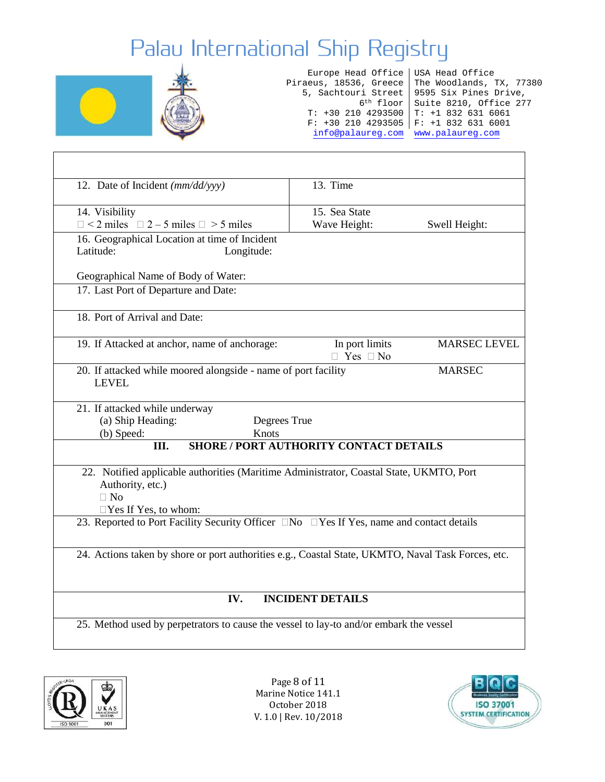

| 12. Date of Incident (mm/dd/yyy)                                                                     | 13. Time                               |                     |  |
|------------------------------------------------------------------------------------------------------|----------------------------------------|---------------------|--|
| 14. Visibility                                                                                       | 15. Sea State                          |                     |  |
| $\Box$ < 2 miles $\Box$ 2 – 5 miles $\Box$ > 5 miles                                                 | Wave Height:                           | Swell Height:       |  |
| 16. Geographical Location at time of Incident                                                        |                                        |                     |  |
| Latitude:<br>Longitude:                                                                              |                                        |                     |  |
| Geographical Name of Body of Water:                                                                  |                                        |                     |  |
| 17. Last Port of Departure and Date:                                                                 |                                        |                     |  |
| 18. Port of Arrival and Date:                                                                        |                                        |                     |  |
| 19. If Attacked at anchor, name of anchorage:                                                        | In port limits<br>$\Box$ Yes $\Box$ No | <b>MARSEC LEVEL</b> |  |
| 20. If attacked while moored alongside - name of port facility<br><b>MARSEC</b><br><b>LEVEL</b>      |                                        |                     |  |
| 21. If attacked while underway                                                                       |                                        |                     |  |
| (a) Ship Heading:<br>Degrees True                                                                    |                                        |                     |  |
| Knots<br>(b) Speed:                                                                                  |                                        |                     |  |
| <b>SHORE / PORT AUTHORITY CONTACT DETAILS</b><br>III.                                                |                                        |                     |  |
| 22. Notified applicable authorities (Maritime Administrator, Coastal State, UKMTO, Port              |                                        |                     |  |
| Authority, etc.)                                                                                     |                                        |                     |  |
| $\Box$ No                                                                                            |                                        |                     |  |
| $\Box$ Yes If Yes, to whom:                                                                          |                                        |                     |  |
| 23. Reported to Port Facility Security Officer $\Box$ No $\Box$ Yes If Yes, name and contact details |                                        |                     |  |
| 24. Actions taken by shore or port authorities e.g., Coastal State, UKMTO, Naval Task Forces, etc.   |                                        |                     |  |
| <b>INCIDENT DETAILS</b><br>IV.                                                                       |                                        |                     |  |
| 25. Method used by perpetrators to cause the vessel to lay-to and/or embark the vessel               |                                        |                     |  |



Page 8 of 11 Marine Notice 141.1 October 2018 V. 1.0 | Rev. 10/2018

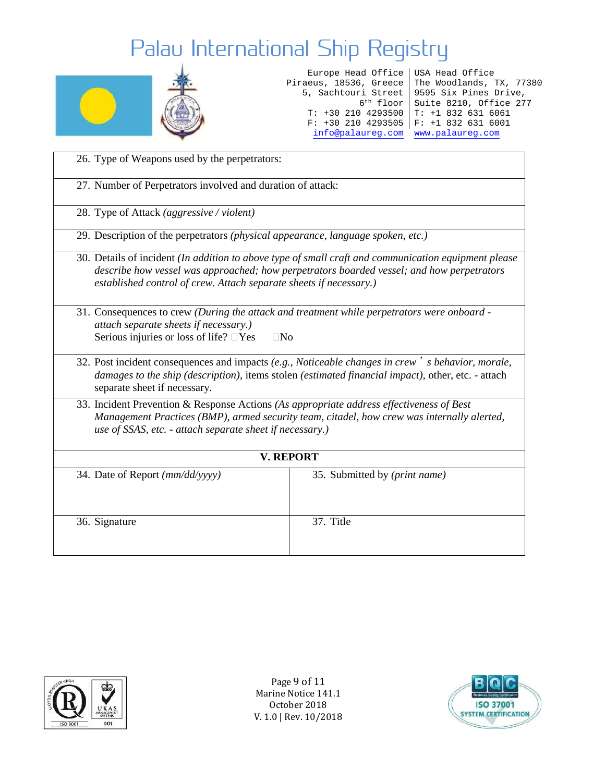

Europe Head Office USA Head Office Piraeus, 18536, Greece 5, Sachtouri Street 9595 Six Pines Drive, 6th floor Suite 8210, Office 277 T: +30 210 4293500 T: +1 832 631 6061 F: +30 210 4293505 F: +1 832 631 6001 The Woodlands, TX, 77380 [info@palaureg.com](mailto:info@palaureg.com) [www.palaureg.com](http://www.palaureg.com/)

| 26. Type of Weapons used by the perpetrators:                                                                                                                                                                                                                           |                               |  |
|-------------------------------------------------------------------------------------------------------------------------------------------------------------------------------------------------------------------------------------------------------------------------|-------------------------------|--|
| 27. Number of Perpetrators involved and duration of attack:                                                                                                                                                                                                             |                               |  |
| 28. Type of Attack (aggressive / violent)                                                                                                                                                                                                                               |                               |  |
| 29. Description of the perpetrators (physical appearance, language spoken, etc.)                                                                                                                                                                                        |                               |  |
| 30. Details of incident (In addition to above type of small craft and communication equipment please<br>describe how vessel was approached; how perpetrators boarded vessel; and how perpetrators<br>established control of crew. Attach separate sheets if necessary.) |                               |  |
| 31. Consequences to crew (During the attack and treatment while perpetrators were onboard -<br>attach separate sheets if necessary.)<br>Serious injuries or loss of life? □Yes<br>$\square$ No                                                                          |                               |  |
| 32. Post incident consequences and impacts (e.g., Noticeable changes in crew's behavior, morale,<br>damages to the ship (description), items stolen (estimated financial impact), other, etc. - attach<br>separate sheet if necessary.                                  |                               |  |
| 33. Incident Prevention & Response Actions (As appropriate address effectiveness of Best<br>Management Practices (BMP), armed security team, citadel, how crew was internally alerted,<br>use of SSAS, etc. - attach separate sheet if necessary.)                      |                               |  |
| <b>V. REPORT</b>                                                                                                                                                                                                                                                        |                               |  |
| 34. Date of Report (mm/dd/yyyy)                                                                                                                                                                                                                                         | 35. Submitted by (print name) |  |
| 36. Signature                                                                                                                                                                                                                                                           | 37. Title                     |  |



Page 9 of 11 Marine Notice 141.1 October 2018 V. 1.0 | Rev. 10/2018

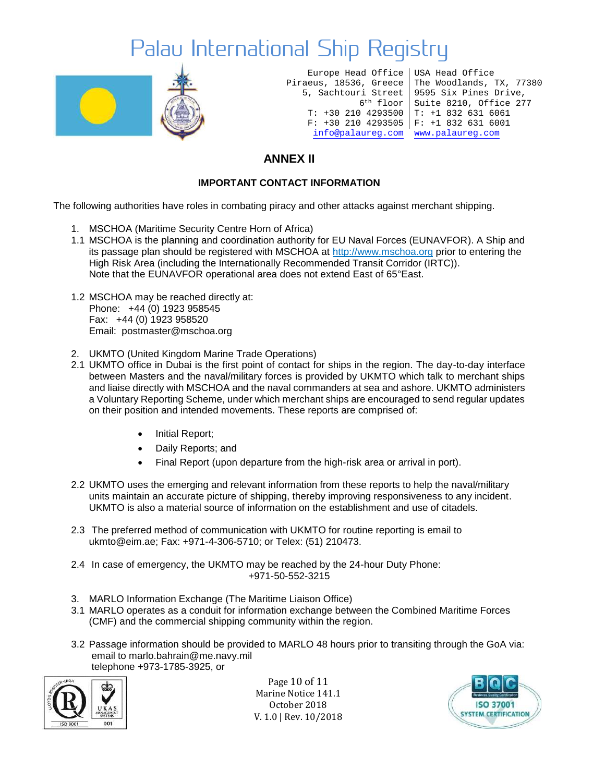

Europe Head Office USA Head Office Piraeus, 18536, Greece 5, Sachtouri Street 9595 Six Pines Drive, 6th floor Suite 8210, Office 277 T: +30 210 4293500 T: +1 832 631 6061 F: +30 210 4293505 F: +1 832 631 6001 The Woodlands, TX, 77380 [info@palaureg.com](mailto:info@palaureg.com) [www.palaureg.com](http://www.palaureg.com/)

#### **ANNEX II**

#### **IMPORTANT CONTACT INFORMATION**

The following authorities have roles in combating piracy and other attacks against merchant shipping.

- 1. MSCHOA (Maritime Security Centre Horn of Africa)
- 1.1 MSCHOA is the planning and coordination authority for EU Naval Forces (EUNAVFOR). A Ship and its passage plan should be registered with MSCHOA at http://www.mschoa.org prior to entering the High Risk Area (including the Internationally Recommended Transit Corridor (IRTC)). Note that the EUNAVFOR operational area does not extend East of 65°East.
- 1.2 MSCHOA may be reached directly at: Phone: +44 (0) 1923 958545 Fax: +44 (0) 1923 958520 Email: postmaster@mschoa.org
- 2. UKMTO (United Kingdom Marine Trade Operations)
- 2.1 UKMTO office in Dubai is the first point of contact for ships in the region. The day-to-day interface between Masters and the naval/military forces is provided by UKMTO which talk to merchant ships and liaise directly with MSCHOA and the naval commanders at sea and ashore. UKMTO administers a Voluntary Reporting Scheme, under which merchant ships are encouraged to send regular updates on their position and intended movements. These reports are comprised of:
	- Initial Report;
	- Daily Reports; and
	- Final Report (upon departure from the high-risk area or arrival in port).
- 2.2 UKMTO uses the emerging and relevant information from these reports to help the naval/military units maintain an accurate picture of shipping, thereby improving responsiveness to any incident. UKMTO is also a material source of information on the establishment and use of citadels.
- 2.3 The preferred method of communication with UKMTO for routine reporting is email to ukmto@eim.ae; Fax: +971-4-306-5710; or Telex: (51) 210473.
- 2.4 In case of emergency, the UKMTO may be reached by the 24-hour Duty Phone: +971-50-552-3215
- 3. MARLO Information Exchange (The Maritime Liaison Office)
- 3.1 MARLO operates as a conduit for information exchange between the Combined Maritime Forces (CMF) and the commercial shipping community within the region.
- 3.2 Passage information should be provided to MARLO 48 hours prior to transiting through the GoA via: email to [marlo.bahrain@me.navy.mil](mailto:marlo.bahrain@me.navy.mil) telephone +973-1785-3925, or



Page 10 of 11 Marine Notice 141.1 October 2018 V. 1.0 | Rev. 10/2018